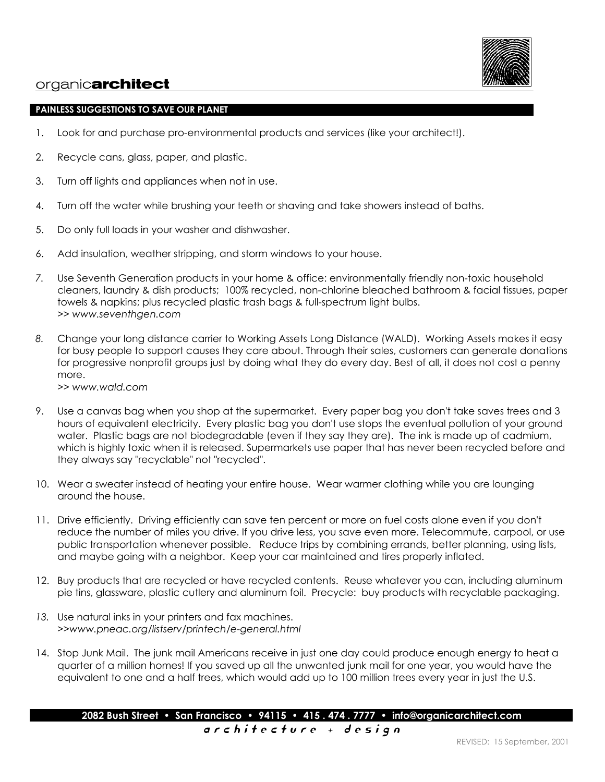

## organic **architect**

## **PAINLESS SUGGESTIONS TO SAVE OUR PLANET**

- 1. Look for and purchase pro-environmental products and services (like your architect!).
- 2. Recycle cans, glass, paper, and plastic.
- 3. Turn off lights and appliances when not in use.
- 4. Turn off the water while brushing your teeth or shaving and take showers instead of baths.
- 5. Do only full loads in your washer and dishwasher.
- 6. Add insulation, weather stripping, and storm windows to your house.
- *7.* Use Seventh Generation products in your home & office: environmentally friendly non-toxic household cleaners, laundry & dish products; 100% recycled, non-chlorine bleached bathroom & facial tissues, paper towels & napkins; plus recycled plastic trash bags & full-spectrum light bulbs. *>> www.seventhgen.com*
- *8.* Change your long distance carrier to Working Assets Long Distance (WALD). Working Assets makes it easy for busy people to support causes they care about. Through their sales, customers can generate donations for progressive nonprofit groups just by doing what they do every day. Best of all, it does not cost a penny more.

*>> www.wald.com*

- 9. Use a canvas bag when you shop at the supermarket. Every paper bag you don't take saves trees and 3 hours of equivalent electricity. Every plastic bag you don't use stops the eventual pollution of your ground water. Plastic bags are not biodegradable (even if they say they are). The ink is made up of cadmium, which is highly toxic when it is released. Supermarkets use paper that has never been recycled before and they always say "recyclable" not "recycled".
- 10. Wear a sweater instead of heating your entire house. Wear warmer clothing while you are lounging around the house.
- 11. Drive efficiently. Driving efficiently can save ten percent or more on fuel costs alone even if you don't reduce the number of miles you drive. If you drive less, you save even more. Telecommute, carpool, or use public transportation whenever possible. Reduce trips by combining errands, better planning, using lists, and maybe going with a neighbor. Keep your car maintained and tires properly inflated.
- 12. Buy products that are recycled or have recycled contents. Reuse whatever you can, including aluminum pie tins, glassware, plastic cutlery and aluminum foil. Precycle: buy products with recyclable packaging.
- *13.* Use natural inks in your printers and fax machines. *>>www.pneac.org/listserv/printech/e-general.html*
- 14. Stop Junk Mail. The junk mail Americans receive in just one day could produce enough energy to heat a quarter of a million homes! If you saved up all the unwanted junk mail for one year, you would have the equivalent to one and a half trees, which would add up to 100 million trees every year in just the U.S.

**2082 Bush Street • San Francisco • 94115 • 415 . 474 . 7777 • info@organicarchitect.com**